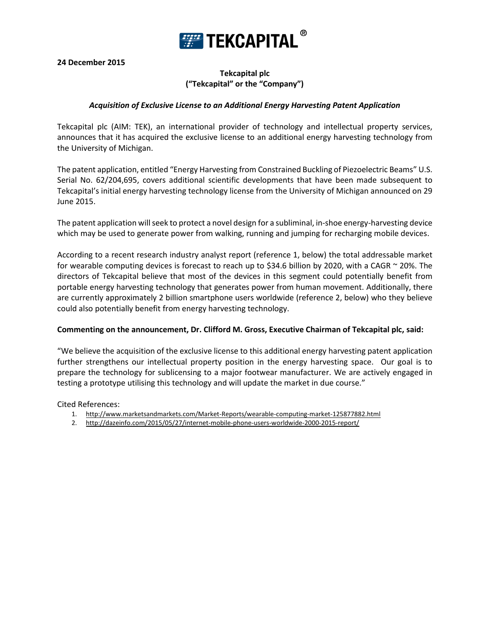

**24 December 2015**

# **Tekcapital plc ("Tekcapital" or the "Company")**

# *Acquisition of Exclusive License to an Additional Energy Harvesting Patent Application*

Tekcapital plc (AIM: TEK), an international provider of technology and intellectual property services, announces that it has acquired the exclusive license to an additional energy harvesting technology from the University of Michigan.

The patent application, entitled "Energy Harvesting from Constrained Buckling of Piezoelectric Beams" U.S. Serial No. 62/204,695, covers additional scientific developments that have been made subsequent to Tekcapital's initial energy harvesting technology license from the University of Michigan announced on 29 June 2015.

The patent application will seek to protect a novel design for a subliminal, in-shoe energy-harvesting device which may be used to generate power from walking, running and jumping for recharging mobile devices.

According to a recent research industry analyst report (reference 1, below) the total addressable market for wearable computing devices is forecast to reach up to \$34.6 billion by 2020, with a CAGR  $\sim$  20%. The directors of Tekcapital believe that most of the devices in this segment could potentially benefit from portable energy harvesting technology that generates power from human movement. Additionally, there are currently approximately 2 billion smartphone users worldwide (reference 2, below) who they believe could also potentially benefit from energy harvesting technology.

#### **Commenting on the announcement, Dr. Clifford M. Gross, Executive Chairman of Tekcapital plc, said:**

"We believe the acquisition of the exclusive license to this additional energy harvesting patent application further strengthens our intellectual property position in the energy harvesting space. Our goal is to prepare the technology for sublicensing to a major footwear manufacturer. We are actively engaged in testing a prototype utilising this technology and will update the market in due course."

Cited References:

- 1. <http://www.marketsandmarkets.com/Market-Reports/wearable-computing-market-125877882.html>
- 2. <http://dazeinfo.com/2015/05/27/internet-mobile-phone-users-worldwide-2000-2015-report/>